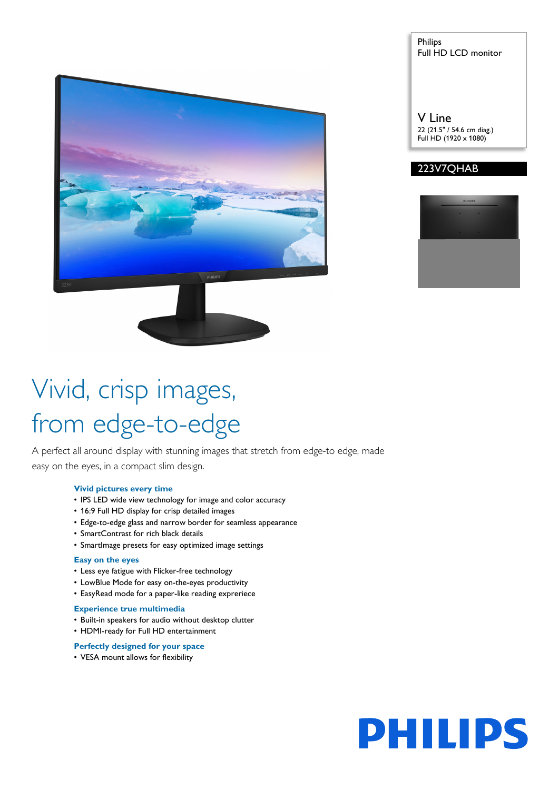

### Philips Full HD LCD monitor

V Line 22 (21.5" / 54.6 cm diag.) Full HD (1920 x 1080)

### 223V7QHAB



# Vivid, crisp images, from edge-to-edge

A perfect all around display with stunning images that stretch from edge-to edge, made easy on the eyes, in a compact slim design.

### **Vivid pictures every time**

- IPS LED wide view technology for image and color accuracy
- 16:9 Full HD display for crisp detailed images
- Edge-to-edge glass and narrow border for seamless appearance
- SmartContrast for rich black details
- SmartImage presets for easy optimized image settings

### **Easy on the eyes**

- Less eye fatigue with Flicker-free technology
- LowBlue Mode for easy on-the-eyes productivity
- EasyRead mode for a paper-like reading expreriece

### **Experience true multimedia**

- Built-in speakers for audio without desktop clutter
- HDMI-ready for Full HD entertainment

### **Perfectly designed for your space**

• VESA mount allows for flexibility

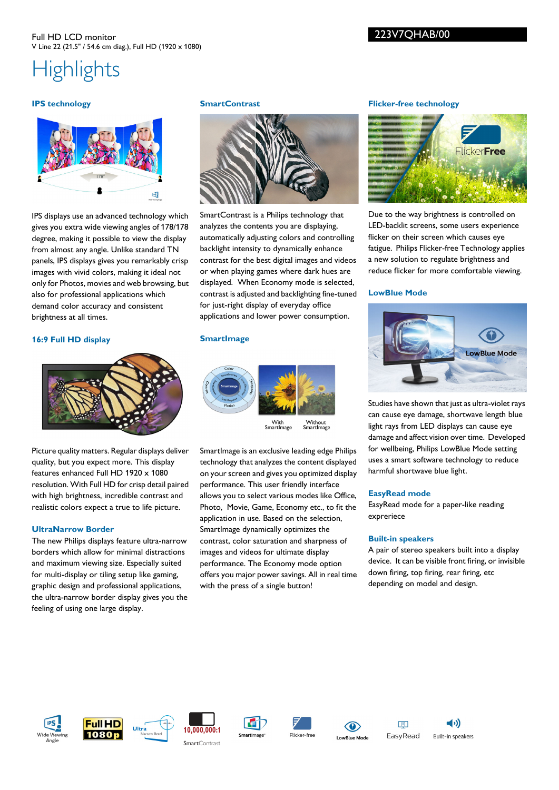### Full HD LCD monitor V Line 22 (21.5" / 54.6 cm diag.), Full HD (1920 x 1080)

## **Highlights**

### **IPS technology**



IPS displays use an advanced technology which gives you extra wide viewing angles of 178/178 degree, making it possible to view the display from almost any angle. Unlike standard TN panels, IPS displays gives you remarkably crisp images with vivid colors, making it ideal not only for Photos, movies and web browsing, but also for professional applications which demand color accuracy and consistent brightness at all times.

### **16:9 Full HD display**



Picture quality matters. Regular displays deliver quality, but you expect more. This display features enhanced Full HD 1920 x 1080 resolution. With Full HD for crisp detail paired with high brightness, incredible contrast and realistic colors expect a true to life picture.

### **UltraNarrow Border**

The new Philips displays feature ultra-narrow borders which allow for minimal distractions and maximum viewing size. Especially suited for multi-display or tiling setup like gaming, graphic design and professional applications, the ultra-narrow border display gives you the feeling of using one large display.

### **SmartContrast**



SmartContrast is a Philips technology that analyzes the contents you are displaying, automatically adjusting colors and controlling backlight intensity to dynamically enhance contrast for the best digital images and videos or when playing games where dark hues are displayed. When Economy mode is selected, contrast is adjusted and backlighting fine-tuned for just-right display of everyday office applications and lower power consumption.

### **SmartImage**



Without<br>SmartImage

SmartImage is an exclusive leading edge Philips technology that analyzes the content displayed on your screen and gives you optimized display performance. This user friendly interface allows you to select various modes like Office, Photo, Movie, Game, Economy etc., to fit the application in use. Based on the selection, SmartImage dynamically optimizes the contrast, color saturation and sharpness of images and videos for ultimate display performance. The Economy mode option offers you major power savings. All in real time with the press of a single button!

### **Flicker-free technology**

223V7QHAB/00



Due to the way brightness is controlled on LED-backlit screens, some users experience flicker on their screen which causes eye fatigue. Philips Flicker-free Technology applies a new solution to regulate brightness and reduce flicker for more comfortable viewing.

### **LowBlue Mode**



Studies have shown that just as ultra-violet rays can cause eye damage, shortwave length blue light rays from LED displays can cause eye damage and affect vision over time. Developed for wellbeing, Philips LowBlue Mode setting uses a smart software technology to reduce harmful shortwave blue light.

### **EasyRead mode**

EasyRead mode for a paper-like reading expreriece

### **Built-in speakers**

A pair of stereo speakers built into a display device. It can be visible front firing, or invisible down firing, top firing, rear firing, etc depending on model and design.



















Built-in speakers